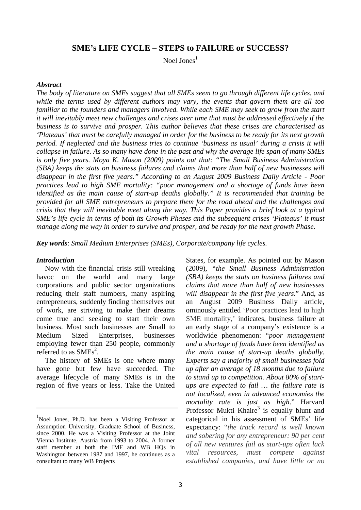### **SME's LIFE CYCLE – STEPS to FAILURE or SUCCESS?**

Noel Jones $<sup>1</sup>$ </sup>

#### *Abstract*

*The body of literature on SMEs suggest that all SMEs seem to go through different life cycles, and while the terms used by different authors may vary, the events that govern them are all too familiar to the founders and managers involved. While each SME may seek to grow from the start it will inevitably meet new challenges and crises over time that must be addressed effectively if the business is to survive and prosper. This author believes that these crises are characterised as 'Plateaus' that must be carefully managed in order for the business to be ready for its next growth period. If neglected and the business tries to continue 'business as usual' during a crisis it will collapse in failure. As so many have done in the past and why the average life span of many SMEs is only five years. Moya K. Mason (2009) points out that: "The Small Business Administration (SBA) keeps the stats on business failures and claims that more than half of new businesses will disappear in the first five years." According to an August 2009 Business Daily Article - Poor practices lead to high SME mortality: "poor management and a shortage of funds have been identified as the main cause of start-up deaths globally." It is recommended that training be provided for all SME entrepreneurs to prepare them for the road ahead and the challenges and crisis that they will inevitable meet along the way. This Paper provides a brief look at a typical SME's life cycle in terms of both its Growth Phases and the subsequent crises 'Plateaus' it must manage along the way in order to survive and prosper, and be ready for the next growth Phase.* 

*Key words*: *Small Medium Enterprises (SMEs), Corporate/company life cycles.* 

#### *Introduction*

Now with the financial crisis still wreaking havoc on the world and many large corporations and public sector organizations reducing their staff numbers, many aspiring entrepreneurs, suddenly finding themselves out of work, are striving to make their dreams come true and seeking to start their own business. Most such businesses are Small to Medium Sized Enterprises, businesses employing fewer than 250 people, commonly referred to as  $\text{SMEs}^2$ .

The history of SMEs is one where many have gone but few have succeeded. The average lifecycle of many SMEs is in the region of five years or less. Take the United

States, for example. As pointed out by Mason (2009), *"the Small Business Administration (SBA) keeps the stats on business failures and claims that more than half of new businesses will disappear in the first five years*." And, as an August 2009 Business Daily article, ominously entitled 'Poor practices lead to high SME mortality,' indicates, business failure at an early stage of a company's existence is a worldwide phenomenon: "*poor management and a shortage of funds have been identified as the main cause of start-up deaths globally*. *Experts say a majority of small businesses fold up after an average of 18 months due to failure to stand up to competition. About 80% of startups are expected to fail … the failure rate is not localized, even in advanced economies the mortality rate is just as high*." Harvard Professor Mukti Khaire<sup>3</sup> is equally blunt and categorical in his assessment of SMEs' life expectancy: "*the track record is well known and sobering for any entrepreneur: 90 per cent of all new ventures fail as start-ups often lack vital resources, must compete against established companies, and have little or no* 

<sup>&</sup>lt;sup>1</sup>Noel Jones, Ph.D. has been a Visiting Professor at Assumption University, Graduate School of Business, since 2000. He was a Visiting Professor at the Joint Vienna Institute, Austria from 1993 to 2004. A former staff member at both the IMF and WB HQs in Washington between 1987 and 1997, he continues as a consultant to many WB Projects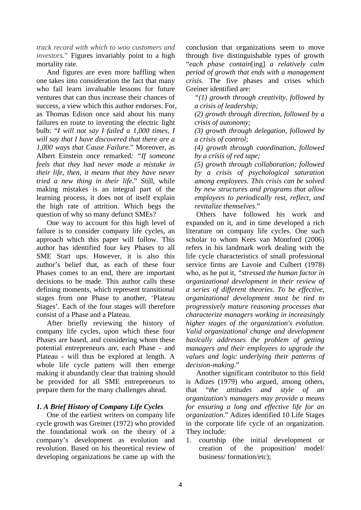*track record with which to woo customers and investors.*" Figures invariably point to a high mortality rate.

 And figures are even more baffling when one takes into consideration the fact that many who fail learn invaluable lessons for future ventures that can thus increase their chances of success, a view which this author endorses. For, as Thomas Edison once said about his many failures en route to inventing the electric light bulb: "*I will not say I failed a 1,000 times, I will say that I have discovered that there are a 1,000 ways that Cause Failure*." Moreover, as Albert Einstein once remarked*: "If someone feels that they had never made a mistake in their life, then, it means that they have never tried a new thing in their life*." Still, while making mistakes is an integral part of the learning process, it does not of itself explain the high rate of attrition. Which begs the question of why so many defunct SMEs?

 One way to account for this high level of failure is to consider company life cycles, an approach which this paper will follow. This author has identified four key Phases to all SME Start ups. However, it is also this author's belief that, as each of these four Phases comes to an end, there are important decisions to be made. This author calls these defining moments, which represent transitional stages from one Phase to another, 'Plateau Stages'. Each of the four stages will therefore consist of a Phase and a Plateau.

 After briefly reviewing the history of company life cycles, upon which these four Phases are based, and considering whom these potential entrepreneurs are, each Phase - and Plateau - will thus be explored at length. A whole life cycle pattern will then emerge making it abundantly clear that training should be provided for all SME entrepreneurs to prepare them for the many challenges ahead.

### *1. A Brief History of Company Life Cycles*

 One of the earliest writers on company life cycle growth was Greiner (1972) who provided the foundational work on the theory of a company's development as evolution and revolution. Based on his theoretical review of developing organizations he came up with the

conclusion that organizations seem to move through five distinguishable types of growth "*each phase contain*[ing] *a relatively calm period of growth that ends with a management crisis.* The five phases and crises which Greiner identified are:

*"(1) growth through creativity, followed by a crisis of leadership;* 

*(2) growth through direction, followed by a crisis of autonomy;* 

*(3) growth through delegation, followed by a crisis of control;* 

*(4) growth through coordination, followed by a crisis of red tape;* 

*(5) growth through collaboration; followed by a crisis of psychological saturation among employees. This crisis can be solved by new structures and programs that allow employees to periodically rest, reflect, and revitalize themselves*."

 Others have followed his work and expanded on it, and in time developed a rich literature on company life cycles. One such scholar to whom Kees van Montford (2006) refers in his landmark work dealing with the life cycle characteristics of small professional service firms are Lavoie and Culbert (1978) who, as he put it*, "stressed the human factor in organizational development in their review of a series of different theories. To be effective, organizational development must be tied to progressively mature reasoning processes that characterize managers working in increasingly higher stages of the organization's evolution. Valid organizational change and development basically addresses the problem of getting managers and their employees to upgrade the values and logic underlying their patterns of decision-making*."

 Another significant contributor to this field is Adizes (1979) who argued, among others, that "*the attitudes and style of an organization's managers may provide a means for ensuring a long and effective life for an organization*." Adizes identified 10 Life Stages in the corporate life cycle of an organization. They include:

1. courtship (the initial development or creation of the proposition/ model/ business/ formation/etc);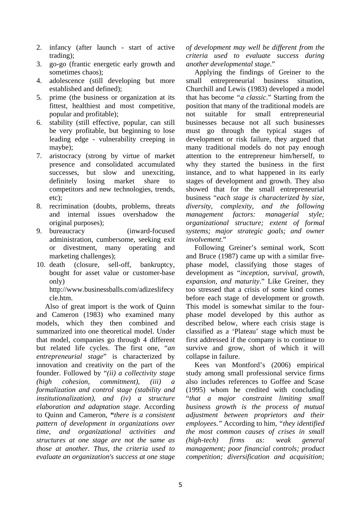- 2. infancy (after launch start of active trading);
- 3. go-go (frantic energetic early growth and sometimes chaos);
- 4. adolescence (still developing but more established and defined);
- 5. prime (the business or organization at its fittest, healthiest and most competitive, popular and profitable);
- 6. stability (still effective, popular, can still be very profitable, but beginning to lose leading edge - vulnerability creeping in maybe);
- 7. aristocracy (strong by virtue of market presence and consolidated accumulated successes, but slow and unexciting, definitely losing market share to competitors and new technologies, trends, etc);
- 8. recrimination (doubts, problems, threats and internal issues overshadow the original purposes);
- 9. bureaucracy (inward-focused administration, cumbersome, seeking exit or divestment, many operating and marketing challenges);
- 10. death (closure, sell-off, bankruptcy, bought for asset value or customer-base only) http://www.businessballs.com/adizeslifecy

cle.htm. Also of great import is the work of Quinn and Cameron (1983) who examined many models, which they then combined and summarized into one theoretical model. Under that model, companies go through 4 different but related life cycles. The first one, "*an entrepreneurial stage*" is characterized by innovation and creativity on the part of the founder. Followed by "*(ii) a collectivity stage (high cohesion, commitment), (iii) a formalization and control stage (stability and institutionalization), and (iv) a structure elaboration and adaptation stage*. According to Quinn and Cameron, **"***there is a consistent pattern of development in organizations over time, and organizational activities and structures at one stage are not the same as those at another. Thus, the criteria used to evaluate an organization's success at one stage*  *of development may well be different from the criteria used to evaluate success during another developmental stage*."

Applying the findings of Greiner to the small entrepreneurial business situation, Churchill and Lewis (1983) developed a model that has become *"a classic*." Starting from the position that many of the traditional models are not suitable for small entrepreneurial businesses because not all such businesses must go through the typical stages of development or risk failure, they argued that many traditional models do not pay enough attention to the entrepreneur him/herself, to why they started the business in the first instance, and to what happened in its early stages of development and growth. They also showed that for the small entrepreneurial business "*each stage is characterized by size, diversity, complexity, and the following management factors: managerial style; organizational structure; extent of formal systems; major strategic goals; and owner involvement*."

Following Greiner's seminal work, Scott and Bruce (1987) came up with a similar fivephase model, classifying those stages of development as "*inception, survival, growth, expansion, and maturity*." Like Greiner, they too stressed that a crisis of some kind comes before each stage of development or growth. This model is somewhat similar to the fourphase model developed by this author as described below, where each crisis stage is classified as a 'Plateau' stage which must be first addressed if the company is to continue to survive and grow, short of which it will collapse in failure.

Kees van Montford's (2006) empirical study among small professional service firms also includes references to Goffee and Scase (1995) whom he credited with concluding "*that a major constraint limiting small business growth is the process of mutual adjustment between proprietors and their employees."* According to him*, "they identified the most common causes of crises in small (high-tech) firms as: weak general management; poor financial controls; product competition; diversification and acquisition;*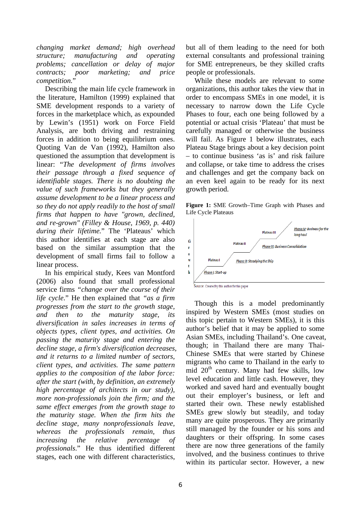*changing market demand; high overhead structure; manufacturing and operating problems; cancellation or delay of major contracts; poor marketing; and price competition.*"

Describing the main life cycle framework in the literature, Hamilton (1999) explained that SME development responds to a variety of forces in the marketplace which, as expounded by Lewin's (1951) work on Force Field Analysis, are both driving and restraining forces in addition to being equilibrium ones. Quoting Van de Van (1992), Hamilton also questioned the assumption that development is linear: "*The development of firms involves their passage through a fixed sequence of identifiable stages. There is no doubting the value of such frameworks but they generally assume development to be a linear process and so they do not apply readily to the host of small firms that happen to have "grown, declined, and re-grown" (Filley & House, 1969, p. 440) during their lifetime.*" The 'Plateaus' which this author identifies at each stage are also based on the similar assumption that the development of small firms fail to follow a linear process.

In his empirical study, Kees van Montford (2006) also found that small professional service firms *"change over the course of their life cycle*." He then explained that *"as a firm progresses from the start to the growth stage, and then to the maturity stage, its diversification in sales increases in terms of objects types, client types, and activities. On passing the maturity stage and entering the decline stage, a firm's diversification decreases, and it returns to a limited number of sectors, client types, and activities. The same pattern applies to the composition of the labor force: after the start (with, by definition, an extremely high percentage of architects in our study), more non-professionals join the firm; and the same effect emerges from the growth stage to the maturity stage. When the firm hits the decline stage, many nonprofessionals leave, whereas the professionals remain, thus increasing the relative percentage of professionals*." He thus identified different stages, each one with different characteristics,

but all of them leading to the need for both external consultants and professional training for SME entrepreneurs, be they skilled crafts people or professionals.

While these models are relevant to some organizations, this author takes the view that in order to encompass SMEs in one model, it is necessary to narrow down the Life Cycle Phases to four, each one being followed by a potential or actual crisis 'Plateau' that must be carefully managed or otherwise the business will fail. As Figure 1 below illustrates, each Plateau Stage brings about a key decision point – to continue business 'as is' and risk failure and collapse, or take time to address the crises and challenges and get the company back on an even keel again to be ready for its next growth period.

**Figure 1:** SME Growth–Time Graph with Phases and Life Cycle Plateaus



Though this is a model predominantly inspired by Western SMEs (most studies on this topic pertain to Western SMEs), it is this author's belief that it may be applied to some Asian SMEs, including Thailand's. One caveat, though; in Thailand there are many Thai-Chinese SMEs that were started by Chinese migrants who came to Thailand in the early to mid  $20<sup>th</sup>$  century. Many had few skills, low level education and little cash. However, they worked and saved hard and eventually bought out their employer's business, or left and started their own. These newly established SMEs grew slowly but steadily, and today many are quite prosperous. They are primarily still managed by the founder or his sons and daughters or their offspring. In some cases there are now three generations of the family involved, and the business continues to thrive within its particular sector. However, a new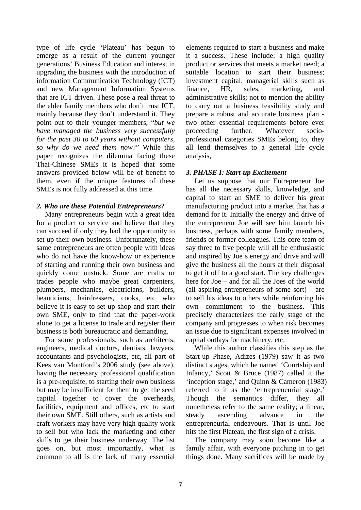type of life cycle 'Plateau' has begun to emerge as a result of the current younger generations' Business Education and interest in upgrading the business with the introduction of information Communication Technology (ICT) and new Management Information Systems that are ICT driven. These pose a real threat to the elder family members who don't trust ICT, mainly because they don't understand it. They point out to their younger members, "*but we have managed the business very successfully for the past 30 to 60 years without computers, so why do we need them now*?" While this paper recognizes the dilemma facing these Thai-Chinese SMEs it is hoped that some answers provided below will be of benefit to them, even if the unique features of these SMEs is not fully addressed at this time.

## *2. Who are these Potential Entrepreneurs?*

Many entrepreneurs begin with a great idea for a product or service and believe that they can succeed if only they had the opportunity to set up their own business. Unfortunately, these same entrepreneurs are often people with ideas who do not have the know-how or experience of starting and running their own business and quickly come unstuck. Some are crafts or trades people who maybe great carpenters, plumbers, mechanics, electricians, builders, beauticians, hairdressers, cooks, etc who believe it is easy to set up shop and start their own SME, only to find that the paper-work alone to get a license to trade and register their business is both bureaucratic and demanding.

For some professionals, such as architects, engineers, medical doctors, dentists, lawyers, accountants and psychologists, etc, all part of Kees van Montford's 2006 study (see above), having the necessary professional qualification is a pre-requisite, to starting their own business but may be insufficient for them to get the seed capital together to cover the overheads, facilities, equipment and offices, etc to start their own SME. Still others, such as artists and craft workers may have very high quality work to sell but who lack the marketing and other skills to get their business underway. The list goes on, but most importantly, what is common to all is the lack of many essential

elements required to start a business and make it a success. These include: a high quality product or services that meets a market need; a suitable location to start their business; investment capital; managerial skills such as finance, HR, sales, marketing, and administrative skills; not to mention the ability to carry out a business feasibility study and prepare a robust and accurate business plan two other essential requirements before ever proceeding further. Whatever socioprofessional categories SMEs belong to, they all lend themselves to a general life cycle analysis,

# *3. PHASE I: Start-up Excitement*

Let us suppose that our Entrepreneur Joe has all the necessary skills, knowledge, and capital to start an SME to deliver his great manufacturing product into a market that has a demand for it. Initially the energy and drive of the entrepreneur Joe will see him launch his business, perhaps with some family members, friends or former colleagues. This core team of say three to five people will all be enthusiastic and inspired by Joe's energy and drive and will give the business all the hours at their disposal to get it off to a good start. The key challenges here for Joe – and for all the Joes of the world (all aspiring entrepreneurs of some sort) – are to sell his ideas to others while reinforcing his own commitment to the business. This precisely characterizes the early stage of the company and progresses to when risk becomes an issue due to significant expenses involved in capital outlays for machinery, etc.

While this author classifies this step as the Start-up Phase, Adizes (1979) saw it as two distinct stages, which he named 'Courtship and Infancy,' Scott & Bruce (1987) called it the 'inception stage,' and Quinn & Cameron (1983) referred to it as the 'entrepreneurial stage,' Though the semantics differ, they all nonetheless refer to the same reality; a linear, steady ascending advance in the entrepreneurial endeavours. That is until Joe hits the first Plateau, the first sign of a crisis.

The company may soon become like a family affair, with everyone pitching in to get things done. Many sacrifices will be made by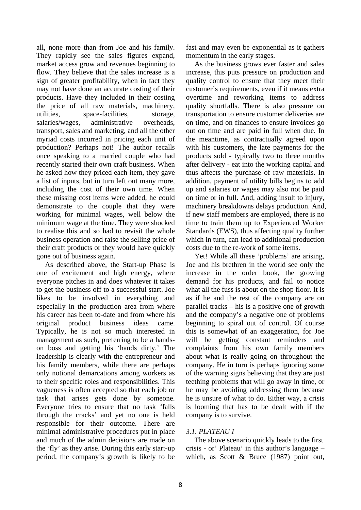all, none more than from Joe and his family. They rapidly see the sales figures expand, market access grow and revenues beginning to flow. They believe that the sales increase is a sign of greater profitability, when in fact they may not have done an accurate costing of their products. Have they included in their costing the price of all raw materials, machinery, utilities, space-facilities, storage, salaries/wages, administrative overheads, transport, sales and marketing, and all the other myriad costs incurred in pricing each unit of production? Perhaps not! The author recalls once speaking to a married couple who had recently started their own craft business. When he asked how they priced each item, they gave a list of inputs, but in turn left out many more, including the cost of their own time. When these missing cost items were added, he could demonstrate to the couple that they were working for minimal wages, well below the minimum wage at the time. They were shocked to realise this and so had to revisit the whole business operation and raise the selling price of their craft products or they would have quickly gone out of business again.

As described above, the Start-up Phase is one of excitement and high energy, where everyone pitches in and does whatever it takes to get the business off to a successful start. Joe likes to be involved in everything and especially in the production area from where his career has been to-date and from where his original product business ideas came. Typically, he is not so much interested in management as such, preferring to be a handson boss and getting his 'hands dirty.' The leadership is clearly with the entrepreneur and his family members, while there are perhaps only notional demarcations among workers as to their specific roles and responsibilities. This vagueness is often accepted so that each job or task that arises gets done by someone. Everyone tries to ensure that no task 'falls through the cracks' and yet no one is held responsible for their outcome. There are minimal administrative procedures put in place and much of the admin decisions are made on the 'fly' as they arise. During this early start-up period, the company's growth is likely to be

fast and may even be exponential as it gathers momentum in the early stages.

As the business grows ever faster and sales increase, this puts pressure on production and quality control to ensure that they meet their customer's requirements, even if it means extra overtime and reworking items to address quality shortfalls. There is also pressure on transportation to ensure customer deliveries are on time, and on finances to ensure invoices go out on time and are paid in full when due. In the meantime, as contractually agreed upon with his customers, the late payments for the products sold - typically two to three months after delivery - eat into the working capital and thus affects the purchase of raw materials. In addition, payment of utility bills begins to add up and salaries or wages may also not be paid on time or in full. And, adding insult to injury, machinery breakdowns delays production. And, if new staff members are employed, there is no time to train them up to Experienced Worker Standards (EWS), thus affecting quality further which in turn, can lead to additional production costs due to the re-work of some items.

Yet! While all these 'problems' are arising, Joe and his brethren in the world see only the increase in the order book, the growing demand for his products, and fail to notice what all the fuss is about on the shop floor. It is as if he and the rest of the company are on parallel tracks – his is a positive one of growth and the company's a negative one of problems beginning to spiral out of control. Of course this is somewhat of an exaggeration, for Joe will be getting constant reminders and complaints from his own family members about what is really going on throughout the company. He in turn is perhaps ignoring some of the warning signs believing that they are just teething problems that will go away in time, or he may be avoiding addressing them because he is unsure of what to do. Either way, a crisis is looming that has to be dealt with if the company is to survive.

# *3.1. PLATEAU I*

The above scenario quickly leads to the first crisis - or' Plateau' in this author's language – which, as Scott & Bruce (1987) point out,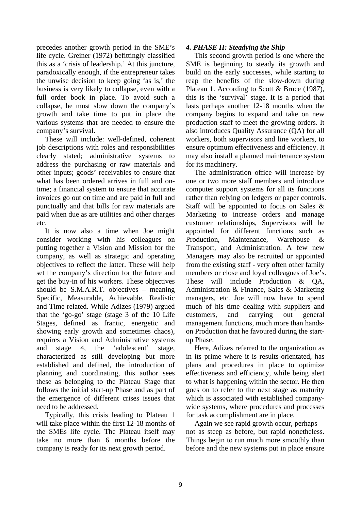precedes another growth period in the SME's life cycle. Greiner (1972) befittingly classified this as a 'crisis of leadership.' At this juncture, paradoxically enough, if the entrepreneur takes the unwise decision to keep going 'as is,' the business is very likely to collapse, even with a full order book in place. To avoid such a collapse, he must slow down the company's growth and take time to put in place the various systems that are needed to ensure the company's survival.

These will include: well-defined, coherent job descriptions with roles and responsibilities clearly stated; administrative systems to address the purchasing or raw materials and other inputs; goods' receivables to ensure that what has been ordered arrives in full and ontime; a financial system to ensure that accurate invoices go out on time and are paid in full and punctually and that bills for raw materials are paid when due as are utilities and other charges etc.

It is now also a time when Joe might consider working with his colleagues on putting together a Vision and Mission for the company, as well as strategic and operating objectives to reflect the latter. These will help set the company's direction for the future and get the buy-in of his workers. These objectives should be S.M.A.R.T. objectives – meaning Specific, Measurable, Achievable, Realistic and Time related. While Adizes (1979) argued that the 'go-go' stage (stage 3 of the 10 Life Stages, defined as frantic, energetic and showing early growth and sometimes chaos), requires a Vision and Administrative systems and stage 4, the 'adolescent' stage, characterized as still developing but more established and defined, the introduction of planning and coordinating, this author sees these as belonging to the Plateau Stage that follows the initial start-up Phase and as part of the emergence of different crises issues that need to be addressed.

Typically, this crisis leading to Plateau 1 will take place within the first 12-18 months of the SMEs life cycle. The Plateau itself may take no more than 6 months before the company is ready for its next growth period.

## *4. PHASE II: Steadying the Ship*

This second growth period is one where the SME is beginning to steady its growth and build on the early successes, while starting to reap the benefits of the slow-down during Plateau 1. According to Scott & Bruce (1987), this is the 'survival' stage. It is a period that lasts perhaps another 12-18 months when the company begins to expand and take on new production staff to meet the growing orders. It also introduces Quality Assurance (QA) for all workers, both supervisors and line workers, to ensure optimum effectiveness and efficiency. It may also install a planned maintenance system for its machinery.

The administration office will increase by one or two more staff members and introduce computer support systems for all its functions rather than relying on ledgers or paper controls. Staff will be appointed to focus on Sales & Marketing to increase orders and manage customer relationships, Supervisors will be appointed for different functions such as Production, Maintenance, Warehouse & Transport, and Administration. A few new Managers may also be recruited or appointed from the existing staff - very often other family members or close and loyal colleagues of Joe's. These will include Production & QA, Administration & Finance, Sales & Marketing managers, etc. Joe will now have to spend much of his time dealing with suppliers and customers, and carrying out general management functions, much more than handson Production that he favoured during the startup Phase.

Here, Adizes referred to the organization as in its prime where it is results-orientated, has plans and procedures in place to optimize effectiveness and efficiency, while being alert to what is happening within the sector. He then goes on to refer to the next stage as maturity which is associated with established companywide systems, where procedures and processes for task accomplishment are in place.

Again we see rapid growth occur, perhaps not as steep as before, but rapid nonetheless. Things begin to run much more smoothly than before and the new systems put in place ensure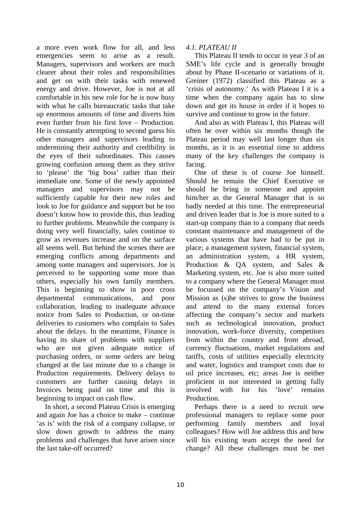a more even work flow for all, and less emergencies seem to arise as a result. Managers, supervisors and workers are much clearer about their roles and responsibilities and get on with their tasks with renewed energy and drive. However, Joe is not at all comfortable in his new role for he is now busy with what he calls bureaucratic tasks that take up enormous amounts of time and diverts him even further from his first love – Production. He is constantly attempting to second guess his other managers and supervisors leading to undermining their authority and credibility in the eyes of their subordinates. This causes growing confusion among them as they strive to 'please' the 'big boss' rather than their immediate one. Some of the newly appointed managers and supervisors may not be sufficiently capable for their new roles and look to Joe for guidance and support but he too doesn't know how to provide this, thus leading to further problems. Meanwhile the company is doing very well financially, sales continue to grow as revenues increase and on the surface all seems well. But behind the scenes there are emerging conflicts among departments and among some managers and supervisors. Joe is perceived to be supporting some more than others, especially his own family members. This is beginning to show in poor cross departmental communications, and poor collaboration, leading to inadequate advance notice from Sales to Production, or on-time deliveries to customers who complain to Sales about the delays. In the meantime, Finance is having its share of problems with suppliers who are not given adequate notice of purchasing orders, or some orders are being changed at the last minute due to a change in Production requirements. Delivery delays to customers are further causing delays in Invoices being paid on time and this is beginning to impact on cash flow.

In short, a second Plateau Crisis is emerging and again Joe has a choice to make – continue 'as is' with the risk of a company collapse, or slow down growth to address the many problems and challenges that have arisen since the last take-off occurred?

### *4.1. PLATEAU II*

This Plateau II tends to occur in year 3 of an SME's life cycle and is generally brought about by Phase II-scenario or variations of it. Greiner (1972) classified this Plateau as a 'crisis of autonomy.' As with Plateau I it is a time when the company again has to slow down and get its house in order if it hopes to survive and continue to grow in the future.

And also as with Plateau I, this Plateau will often be over within six months though the Plateau period may well last longer than six months, as it is an essential time to address many of the key challenges the company is facing.

One of these is of course Joe himself. Should he remain the Chief Executive or should he bring in someone and appoint him/her as the General Manager that is so badly needed at this time. The entrepreneurial and driven leader that is Joe is more suited to a start-up company than to a company that needs constant maintenance and management of the various systems that have had to be put in place; a management system, financial system, an administration system, a HR system, Production & QA system, and Sales & Marketing system, etc. Joe is also more suited to a company where the General Manager must be focussed on the company's Vision and Mission as (s)he strives to grow the business and attend to the many external forces affecting the company's sector and markets such as technological innovation, product innovation, work-force diversity, competitors from within the country and from abroad, currency fluctuations, market regulations and tariffs, costs of utilities especially electricity and water, logistics and transport costs due to oil price increases, etc; areas Joe is neither proficient in nor interested in getting fully involved with for his 'love' remains Production.

Perhaps there is a need to recruit new professional managers to replace some poor performing family members and loyal colleagues? How will Joe address this and how will his existing team accept the need for change? All these challenges must be met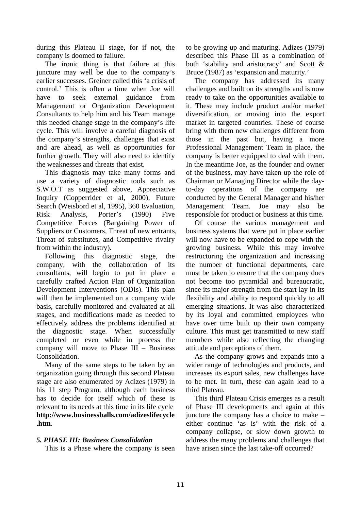during this Plateau II stage, for if not, the company is doomed to failure.

The ironic thing is that failure at this juncture may well be due to the company's earlier successes. Greiner called this 'a crisis of control.' This is often a time when Joe will have to seek external guidance from Management or Organization Development Consultants to help him and his Team manage this needed change stage in the company's life cycle. This will involve a careful diagnosis of the company's strengths, challenges that exist and are ahead, as well as opportunities for further growth. They will also need to identify the weaknesses and threats that exist.

This diagnosis may take many forms and use a variety of diagnostic tools such as S.W.O.T as suggested above, Appreciative Inquiry (Copperrider et al, 2000), Future Search (Weisbord et al, 1995), 360 Evaluation, Risk Analysis, Porter's (1990) Five Competitive Forces (Bargaining Power of Suppliers or Customers, Threat of new entrants, Threat of substitutes, and Competitive rivalry from within the industry).

Following this diagnostic stage, the company, with the collaboration of its consultants, will begin to put in place a carefully crafted Action Plan of Organization Development Interventions (ODIs). This plan will then be implemented on a company wide basis, carefully monitored and evaluated at all stages, and modifications made as needed to effectively address the problems identified at the diagnostic stage. When successfully completed or even while in process the company will move to Phase III – Business Consolidation.

Many of the same steps to be taken by an organization going through this second Plateau stage are also enumerated by Adizes (1979) in his 11 step Program, although each business has to decide for itself which of these is relevant to its needs at this time in its life cycle **http://www.businessballs.com/adizeslifecycle .htm**.

# *5. PHASE III: Business Consolidation*

This is a Phase where the company is seen

to be growing up and maturing. Adizes (1979) described this Phase III as a combination of both 'stability and aristocracy' and Scott & Bruce (1987) as 'expansion and maturity.'

The company has addressed its many challenges and built on its strengths and is now ready to take on the opportunities available to it. These may include product and/or market diversification, or moving into the export market in targeted countries. These of course bring with them new challenges different from those in the past but, having a more Professional Management Team in place, the company is better equipped to deal with them. In the meantime Joe, as the founder and owner of the business, may have taken up the role of Chairman or Managing Director while the dayto-day operations of the company are conducted by the General Manager and his/her Management Team. Joe may also be responsible for product or business at this time.

Of course the various management and business systems that were put in place earlier will now have to be expanded to cope with the growing business. While this may involve restructuring the organization and increasing the number of functional departments, care must be taken to ensure that the company does not become too pyramidal and bureaucratic, since its major strength from the start lay in its flexibility and ability to respond quickly to all emerging situations. It was also characterized by its loyal and committed employees who have over time built up their own company culture. This must get transmitted to new staff members while also reflecting the changing attitude and perceptions of them.

As the company grows and expands into a wider range of technologies and products, and increases its export sales, new challenges have to be met. In turn, these can again lead to a third Plateau.

This third Plateau Crisis emerges as a result of Phase III developments and again at this juncture the company has a choice to make – either continue 'as is' with the risk of a company collapse, or slow down growth to address the many problems and challenges that have arisen since the last take-off occurred?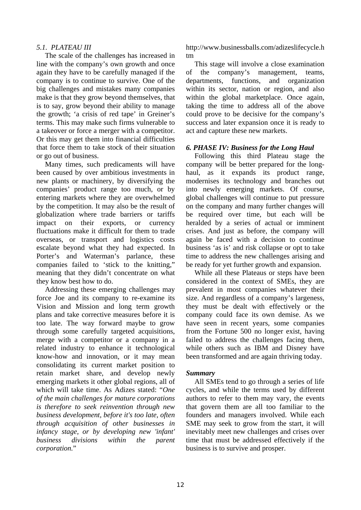#### *5.1. PLATEAU III*

The scale of the challenges has increased in line with the company's own growth and once again they have to be carefully managed if the company is to continue to survive. One of the big challenges and mistakes many companies make is that they grow beyond themselves, that is to say, grow beyond their ability to manage the growth; 'a crisis of red tape' in Greiner's terms. This may make such firms vulnerable to a takeover or force a merger with a competitor. Or this may get them into financial difficulties that force them to take stock of their situation or go out of business.

Many times, such predicaments will have been caused by over ambitious investments in new plants or machinery, by diversifying the companies' product range too much, or by entering markets where they are overwhelmed by the competition. It may also be the result of globalization where trade barriers or tariffs impact on their exports, or currency fluctuations make it difficult for them to trade overseas, or transport and logistics costs escalate beyond what they had expected. In Porter's and Waterman's parlance, these companies failed to 'stick to the knitting," meaning that they didn't concentrate on what they know best how to do.

Addressing these emerging challenges may force Joe and its company to re-examine its Vision and Mission and long term growth plans and take corrective measures before it is too late. The way forward maybe to grow through some carefully targeted acquisitions, merge with a competitor or a company in a related industry to enhance it technological know-how and innovation, or it may mean consolidating its current market position to retain market share, and develop newly emerging markets it other global regions, all of which will take time. As Adizes stated: "*One of the main challenges for mature corporations is therefore to seek reinvention through new business development, before it's too late, often through acquisition of other businesses in infancy stage, or by developing new 'infant' business divisions within the parent corporation.*"

http://www.businessballs.com/adizeslifecycle.h tm

This stage will involve a close examination of the company's management, teams, departments, functions, and organization within its sector, nation or region, and also within the global marketplace. Once again, taking the time to address all of the above could prove to be decisive for the company's success and later expansion once it is ready to act and capture these new markets.

### *6. PHASE IV: Business for the Long Haul*

Following this third Plateau stage the company will be better prepared for the longhaul, as it expands its product range, modernises its technology and branches out into newly emerging markets. Of course, global challenges will continue to put pressure on the company and many further changes will be required over time, but each will be heralded by a series of actual or imminent crises. And just as before, the company will again be faced with a decision to continue business 'as is' and risk collapse or opt to take time to address the new challenges arising and be ready for yet further growth and expansion.

While all these Plateaus or steps have been considered in the context of SMEs, they are prevalent in most companies whatever their size. And regardless of a company's largeness, they must be dealt with effectively or the company could face its own demise. As we have seen in recent years, some companies from the Fortune 500 no longer exist, having failed to address the challenges facing them, while others such as IBM and Disney have been transformed and are again thriving today.

#### *Summary*

All SMEs tend to go through a series of life cycles, and while the terms used by different authors to refer to them may vary, the events that govern them are all too familiar to the founders and managers involved. While each SME may seek to grow from the start, it will inevitably meet new challenges and crises over time that must be addressed effectively if the business is to survive and prosper.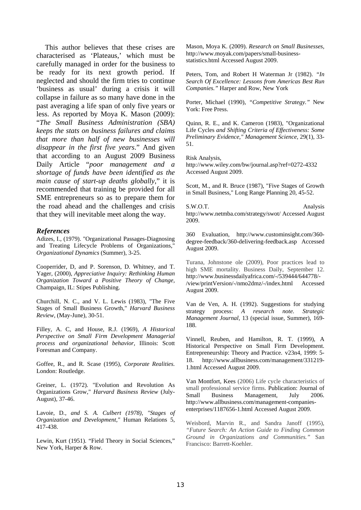This author believes that these crises are characterised as 'Plateaus,' which must be carefully managed in order for the business to be ready for its next growth period. If neglected and should the firm tries to continue 'business as usual' during a crisis it will collapse in failure as so many have done in the past averaging a life span of only five years or less. As reported by Moya K. Mason (2009): "*The Small Business Administration (SBA) keeps the stats on business failures and claims that more than half of new businesses will disappear in the first five years*." And given that according to an August 2009 Business Daily Article "*poor management and a shortage of funds have been identified as the main cause of start-up deaths globally*," it is recommended that training be provided for all SME entrepreneurs so as to prepare them for the road ahead and the challenges and crisis that they will inevitable meet along the way.

#### *References*

Adizes, I., (1979). "Organizational Passages-Diagnosing and Treating Lifecycle Problems of Organizations," *Organizational Dynamics* (Summer), 3-25.

Cooperrider, D, and P. Sorenson, D. Whitney, and T. Yager, (2000), *Appreciative Inquiry: Rethinking Human Organization Toward a Positive Theory of Change,*  Champaign, IL: Stipes Publishing.

Churchill, N. C., and V. L. Lewis (1983), "The Five Stages of Small Business Growth," *Harvard Business Review,* (May-June), 30-51.

Filley, A. C, and House, R.J. (1969), *A Historical Perspective on Small Firm Development Managerial process and organizational behavior,* Illinois: Scott Foresman and Company.

Goffee, R., and R. Scase (1995), *Corporate Realities.*  London: Routledge.

Greiner, L. (1972). "Evolution and Revolution As Organizations Grow," *Harvard Business Review* (July-August), 37-46.

Lavoie, D*., and S. A. Culbert (1978), "Stages of Organization and Development,"* Human Relations 5, 417-438.

Lewin, Kurt (1951). "Field Theory in Social Sciences," New York, Harper & Row.

Mason, Moya K. (2009). *Research on Small Businesses,*  http://www.moyak.com/papers/small-businessstatistics.html Accessed August 2009.

Peters, Tom, and Robert H Waterman Jr (1982). *"In Search Of Excellence: Lessons from Americas Best Run Companies."* Harper and Row, New York

Porter, Michael (1990), *"Competitive Strategy."* New York: Free Press.

Quinn, R. E., and K. Cameron (1983), "Organizational Life Cycles *and Shifting Criteria of Effectiveness: Some Preliminary Evidence," Management Science,* 29(1), 33- 51.

Risk Analysis,

http://www.wiley.com/bw/journal.asp?ref=0272-4332 Accessed August 2009.

Scott, M., and R. Bruce (1987), "Five Stages of Growth in Small Business," Long Range Planning 20, 45-52.

S.W.O.T. Analysis http://www.netmba.com/strategy/swot/ Accessed August 2009.

360 Evaluation, http://www.custominsight.com/360 degree-feedback/360-delivering-feedback.asp Accessed August 2009.

Turana, Johnstone ole (2009), Poor practices lead to high SME mortality. Business Daily, September 12. http://www.businessdailyafrica.com/-/539444/644778/- /view/printVersion/-/nmo2dmz/-/index.html Accessed August 2009.

Van de Ven, A. H. (1992). Suggestions for studying strategy process: *A research note. Strategic Management Journal,* 13 (special issue, Summer), 169- 188.

Vinnell, Reuben, and Hamilton, R. T. (1999), A Historical Perspective on Small Firm Development. Entrepreneurship: Theory and Practice. v23n4, 1999: 5- 18. http://www.allbusiness.com/management/331219- 1.html Accessed August 2009.

Van Montfort, Kees (2006) Life cycle characteristics of small professional service firms. Publication: Journal of Small Business Management, July 2006. http://www.allbusiness.com/management-companiesenterprises/1187656-1.html Accessed August 2009.

Weisbord, Marvin R., and Sandra Janoff (1995), *"Future Search: An Action Guide to Finding Common Ground in Organizations and Communities."* San Francisco: Barrett-Koehler.